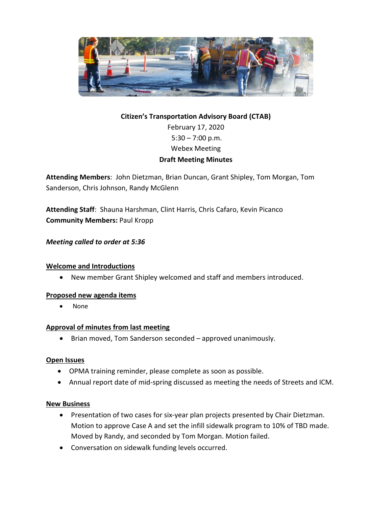

# **Citizen's Transportation Advisory Board (CTAB)** February 17, 2020  $5:30 - 7:00$  p.m. Webex Meeting **Draft Meeting Minutes**

**Attending Members**: John Dietzman, Brian Duncan, Grant Shipley, Tom Morgan, Tom Sanderson, Chris Johnson, Randy McGlenn

**Attending Staff**: Shauna Harshman, Clint Harris, Chris Cafaro, Kevin Picanco **Community Members:** Paul Kropp

### *Meeting called to order at 5:36*

#### **Welcome and Introductions**

• New member Grant Shipley welcomed and staff and members introduced.

#### **Proposed new agenda items**

• None

#### **Approval of minutes from last meeting**

• Brian moved, Tom Sanderson seconded – approved unanimously.

#### **Open Issues**

- OPMA training reminder, please complete as soon as possible.
- Annual report date of mid-spring discussed as meeting the needs of Streets and ICM.

#### **New Business**

- Presentation of two cases for six-year plan projects presented by Chair Dietzman. Motion to approve Case A and set the infill sidewalk program to 10% of TBD made. Moved by Randy, and seconded by Tom Morgan. Motion failed.
- Conversation on sidewalk funding levels occurred.